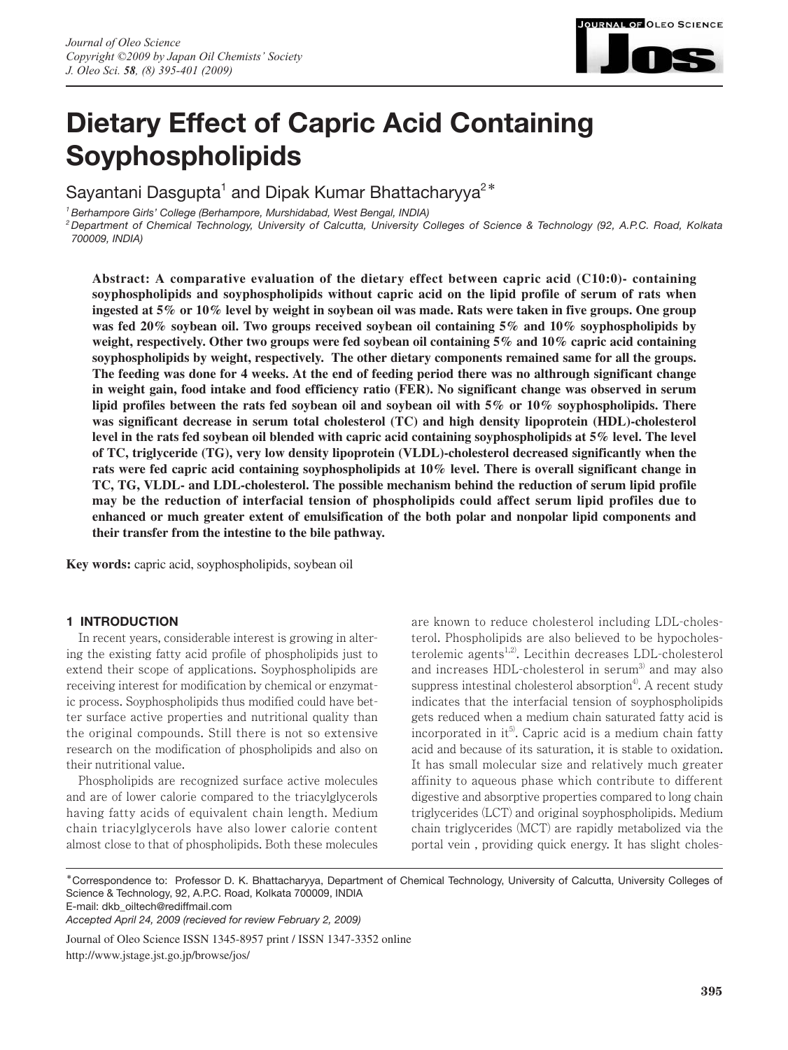

# **Dietary Effect of Capric Acid Containing Soyphospholipids**

Sayantani Dasgupta<sup>1</sup> and Dipak Kumar Bhattacharyya<sup>2</sup><sup>\*</sup>

*1 Berhampore Girls' College (Berhampore, Murshidabad, West Bengal, INDIA)*

*2 Department of Chemical Technology, University of Calcutta, University Colleges of Science & Technology (92, A.P.C. Road, Kolkata 700009, INDIA)*

**Abstract: A comparative evaluation of the dietary effect between capric acid (C10:0)- containing soyphospholipids and soyphospholipids without capric acid on the lipid profile of serum of rats when ingested at 5% or 10% level by weight in soybean oil was made. Rats were taken in five groups. One group was fed 20% soybean oil. Two groups received soybean oil containing 5% and 10% soyphospholipids by weight, respectively. Other two groups were fed soybean oil containing 5% and 10% capric acid containing soyphospholipids by weight, respectively. The other dietary components remained same for all the groups. The feeding was done for 4 weeks. At the end of feeding period there was no althrough significant change in weight gain, food intake and food efficiency ratio (FER). No significant change was observed in serum lipid profiles between the rats fed soybean oil and soybean oil with 5% or 10% soyphospholipids. There was significant decrease in serum total cholesterol (TC) and high density lipoprotein (HDL)-cholesterol level in the rats fed soybean oil blended with capric acid containing soyphospholipids at 5% level. The level of TC, triglyceride (TG), very low density lipoprotein (VLDL)-cholesterol decreased significantly when the rats were fed capric acid containing soyphospholipids at 10% level. There is overall significant change in TC, TG, VLDL- and LDL-cholesterol. The possible mechanism behind the reduction of serum lipid profile may be the reduction of interfacial tension of phospholipids could affect serum lipid profiles due to enhanced or much greater extent of emulsification of the both polar and nonpolar lipid components and their transfer from the intestine to the bile pathway.**

**Key words:** capric acid, soyphospholipids, soybean oil

# **1 INTRODUCTION**

In recent years, considerable interest is growing in altering the existing fatty acid profile of phospholipids just to extend their scope of applications. Soyphospholipids are receiving interest for modification by chemical or enzymatic process. Soyphospholipids thus modified could have better surface active properties and nutritional quality than the original compounds. Still there is not so extensive research on the modification of phospholipids and also on their nutritional value.

Phospholipids are recognized surface active molecules and are of lower calorie compared to the triacylglycerols having fatty acids of equivalent chain length. Medium chain triacylglycerols have also lower calorie content almost close to that of phospholipids. Both these molecules

are known to reduce cholesterol including LDL-cholesterol. Phospholipids are also believed to be hypocholesterolemic agents<sup>1,2)</sup>. Lecithin decreases LDL-cholesterol and increases HDL-cholesterol in serum<sup>3)</sup> and may also suppress intestinal cholesterol absorption<sup>4</sup>. A recent study indicates that the interfacial tension of soyphospholipids gets reduced when a medium chain saturated fatty acid is incorporated in  $it^5$ . Capric acid is a medium chain fatty acid and because of its saturation, it is stable to oxidation. It has small molecular size and relatively much greater affinity to aqueous phase which contribute to different digestive and absorptive properties compared to long chain triglycerides (LCT) and original soyphospholipids. Medium chain triglycerides (MCT) are rapidly metabolized via the portal vein , providing quick energy. It has slight choles-

\*Correspondence to: Professor D. K. Bhattacharyya, Department of Chemical Technology, University of Calcutta, University Colleges of Science & Technology, 92, A.P.C. Road, Kolkata 700009, INDIA

E-mail: dkb\_oiltech@rediffmail.com

*Accepted April 24, 2009 (recieved for review February 2, 2009)*

Journal of Oleo Science ISSN 1345-8957 print / ISSN 1347-3352 online http://www.jstage.jst.go.jp/browse/jos/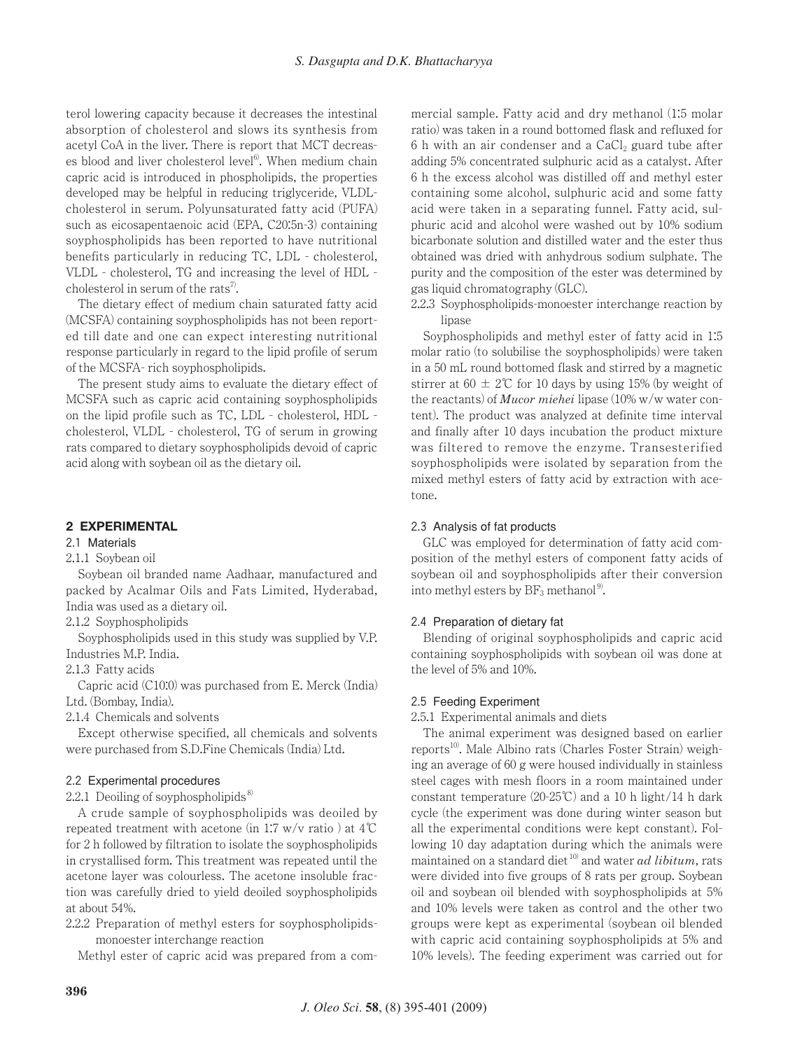terol lowering capacity because it decreases the intestinal absorption of cholesterol and slows its synthesis from acetyl CoA in the liver. There is report that MCT decreases blood and liver cholesterol level<sup>6</sup>. When medium chain capric acid is introduced in phospholipids, the properties developed may be helpful in reducing triglyceride, VLDLcholesterol in serum. Polyunsaturated fatty acid (PUFA) such as eicosapentaenoic acid (EPA, C20:5n-3) containing soyphospholipids has been reported to have nutritional benefits particularly in reducing TC, LDL - cholesterol, VLDL - cholesterol, TG and increasing the level of HDL cholesterol in serum of the rats<sup>7</sup>.

The dietary effect of medium chain saturated fatty acid (MCSFA) containing soyphospholipids has not been reported till date and one can expect interesting nutritional response particularly in regard to the lipid profile of serum of the MCSFA- rich soyphospholipids.

The present study aims to evaluate the dietary effect of MCSFA such as capric acid containing soyphospholipids on the lipid profile such as TC, LDL - cholesterol, HDL cholesterol, VLDL - cholesterol, TG of serum in growing rats compared to dietary soyphospholipids devoid of capric acid along with soybean oil as the dietary oil.

# **2 EXPERIMENTAL**

## 2.1 Materials

## 2.1.1 Soybean oil

Soybean oil branded name Aadhaar, manufactured and packed by Acalmar Oils and Fats Limited, Hyderabad, India was used as a dietary oil.

2.1.2 Soyphospholipids

Soyphospholipids used in this study was supplied by V.P. Industries M.P. India.

2.1.3 Fatty acids

Capric acid (C10:0) was purchased from E. Merck (India) Ltd. (Bombay, India).

2.1.4 Chemicals and solvents

Except otherwise specified, all chemicals and solvents were purchased from S.D.Fine Chemicals (India) Ltd.

#### 2.2 Experimental procedures

2.2.1 Deoiling of soyphospholipids $\frac{8}{3}$ 

A crude sample of soyphospholipids was deoiled by repeated treatment with acetone (in 1:7 w/v ratio ) at 4℃ for 2 h followed by filtration to isolate the soyphospholipids in crystallised form. This treatment was repeated until the acetone layer was colourless. The acetone insoluble fraction was carefully dried to yield deoiled soyphospholipids at about 54%.

2.2.2 Preparation of methyl esters for soyphospholipidsmonoester interchange reaction

Methyl ester of capric acid was prepared from a com-

mercial sample. Fatty acid and dry methanol (1:5 molar ratio) was taken in a round bottomed flask and refluxed for 6 h with an air condenser and a  $CaCl<sub>2</sub>$  guard tube after adding 5% concentrated sulphuric acid as a catalyst. After 6 h the excess alcohol was distilled off and methyl ester containing some alcohol, sulphuric acid and some fatty acid were taken in a separating funnel. Fatty acid, sulphuric acid and alcohol were washed out by 10% sodium bicarbonate solution and distilled water and the ester thus obtained was dried with anhydrous sodium sulphate. The purity and the composition of the ester was determined by gas liquid chromatography (GLC).

2.2.3 Soyphospholipids-monoester interchange reaction by lipase

Soyphospholipids and methyl ester of fatty acid in 1:5 molar ratio (to solubilise the soyphospholipids) were taken in a 50 mL round bottomed flask and stirred by a magnetic stirrer at  $60 \pm 2^{\circ}$  for 10 days by using 15% (by weight of the reactants) of *Mucor miehei* lipase (10% w/w water content). The product was analyzed at definite time interval and finally after 10 days incubation the product mixture was filtered to remove the enzyme. Transesterified soyphospholipids were isolated by separation from the mixed methyl esters of fatty acid by extraction with acetone.

#### 2.3 Analysis of fat products

GLC was employed for determination of fatty acid composition of the methyl esters of component fatty acids of soybean oil and soyphospholipids after their conversion into methyl esters by  $BF_3$  methanol<sup>9)</sup>.

#### 2.4 Preparation of dietary fat

Blending of original soyphospholipids and capric acid containing soyphospholipids with soybean oil was done at the level of 5% and 10%.

#### 2.5 Feeding Experiment

2.5.1 Experimental animals and diets

The animal experiment was designed based on earlier reports<sup>10</sup>. Male Albino rats (Charles Foster Strain) weighing an average of 60 g were housed individually in stainless steel cages with mesh floors in a room maintained under constant temperature  $(20-25\degree\text{C})$  and a 10 h light/14 h dark cycle (the experiment was done during winter season but all the experimental conditions were kept constant). Following 10 day adaptation during which the animals were maintained on a standard diet 10) and water *ad libitum*, rats were divided into five groups of 8 rats per group. Soybean oil and soybean oil blended with soyphospholipids at 5% and 10% levels were taken as control and the other two groups were kept as experimental (soybean oil blended with capric acid containing soyphospholipids at 5% and 10% levels). The feeding experiment was carried out for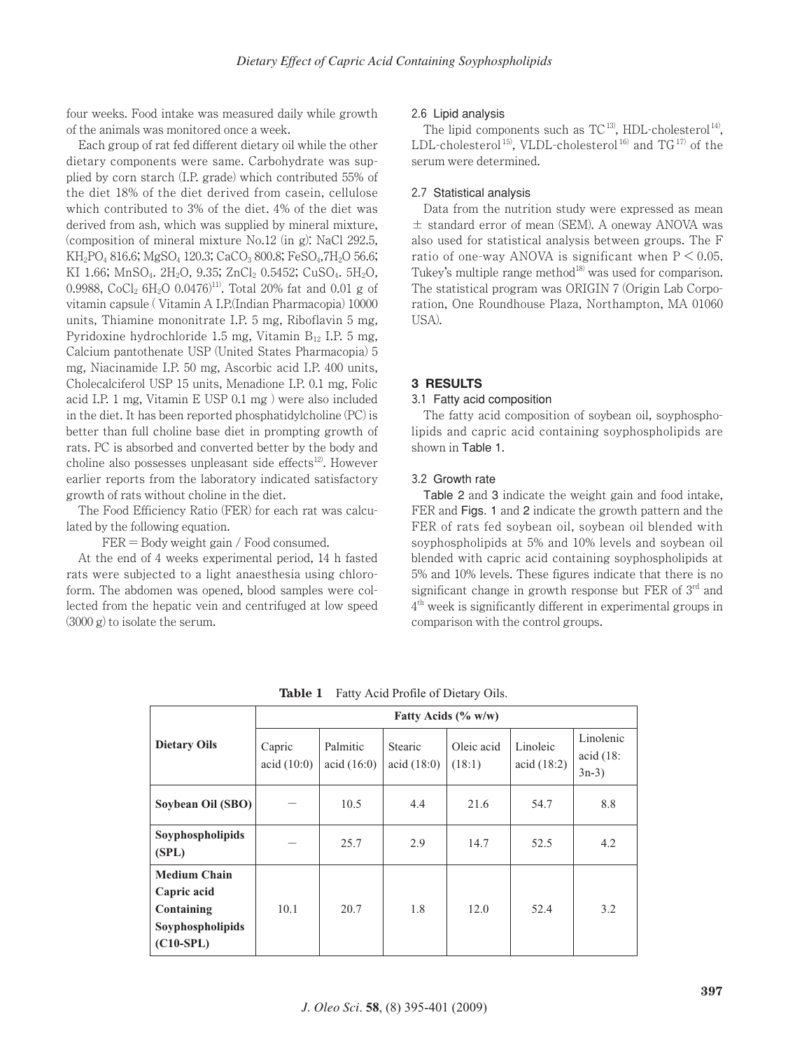four weeks. Food intake was measured daily while growth of the animals was monitored once a week.

Each group of rat fed different dietary oil while the other dietary components were same. Carbohydrate was supplied by corn starch (I.P. grade) which contributed 55% of the diet 18% of the diet derived from casein, cellulose which contributed to 3% of the diet. 4% of the diet was derived from ash, which was supplied by mineral mixture, (composition of mineral mixture No.12 (in g): NaCl 292.5,  $KH_2PO_4816.6$ ; MgSO<sub>4</sub> 120.3; CaCO<sub>3</sub> 800.8; FeSO<sub>4</sub>,7H<sub>2</sub>O 56.6; KI 1.66; MnSO<sub>4</sub>, 2H<sub>2</sub>O, 9.35; ZnCl<sub>2</sub> 0.5452; CuSO<sub>4</sub>, 5H<sub>2</sub>O, 0.9988, CoCl<sub>2</sub> 6H<sub>2</sub>O 0.0476)<sup>11)</sup>. Total 20% fat and 0.01 g of vitamin capsule ( Vitamin A I.P.(Indian Pharmacopia) 10000 units, Thiamine mononitrate I.P. 5 mg, Riboflavin 5 mg, Pyridoxine hydrochloride 1.5 mg, Vitamin  $B_{12}$  I.P. 5 mg, Calcium pantothenate USP (United States Pharmacopia) 5 mg, Niacinamide I.P. 50 mg, Ascorbic acid I.P. 400 units, Cholecalciferol USP 15 units, Menadione I.P. 0.1 mg, Folic acid I.P. 1 mg, Vitamin E USP 0.1 mg ) were also included in the diet. It has been reported phosphatidylcholine (PC) is better than full choline base diet in prompting growth of rats. PC is absorbed and converted better by the body and choline also possesses unpleasant side effects $12$ . However earlier reports from the laboratory indicated satisfactory growth of rats without choline in the diet.

The Food Efficiency Ratio (FER) for each rat was calculated by the following equation.

 $FER = Body weight gain / Food consumed.$ 

At the end of 4 weeks experimental period, 14 h fasted rats were subjected to a light anaesthesia using chloroform. The abdomen was opened, blood samples were collected from the hepatic vein and centrifuged at low speed (3000 g) to isolate the serum.

#### 2.6 Lipid analysis

The lipid components such as  $TC^{13}$ , HDL-cholesterol<sup>14</sup>, LDL-cholesterol<sup>15</sup>, VLDL-cholesterol<sup>16)</sup> and  $TG^{17}$  of the serum were determined.

#### 2.7 Statistical analysis

Data from the nutrition study were expressed as mean  $\pm$  standard error of mean (SEM). A oneway ANOVA was also used for statistical analysis between groups. The F ratio of one-way ANOVA is significant when  $P < 0.05$ . Tukey's multiple range method<sup>18</sup> was used for comparison. The statistical program was ORIGIN 7 (Origin Lab Corporation, One Roundhouse Plaza, Northampton, MA 01060 USA).

## **3 RESULTS**

## 3.1 Fatty acid composition

The fatty acid composition of soybean oil, soyphospholipids and capric acid containing soyphospholipids are shown in Table 1.

## 3.2 Growth rate

Table 2 and 3 indicate the weight gain and food intake, FER and Figs. 1 and 2 indicate the growth pattern and the FER of rats fed soybean oil, soybean oil blended with soyphospholipids at 5% and 10% levels and soybean oil blended with capric acid containing soyphospholipids at 5% and 10% levels. These figures indicate that there is no significant change in growth response but FER of 3<sup>rd</sup> and 4th week is significantly different in experimental groups in comparison with the control groups.

|                                                                                     | Fatty Acids $(\% w/w)$ |                           |                               |                      |                        |                                  |  |
|-------------------------------------------------------------------------------------|------------------------|---------------------------|-------------------------------|----------------------|------------------------|----------------------------------|--|
| <b>Dietary Oils</b>                                                                 | Capric<br>acid(10:0)   | Palmitic<br>acid $(16:0)$ | <b>Stearic</b><br>acid (18:0) | Oleic acid<br>(18:1) | Linoleic<br>acid(18:2) | Linolenic<br>acid (18)<br>$3n-3$ |  |
| Soybean Oil (SBO)                                                                   |                        | 10.5                      | 4.4                           | 21.6                 | 54.7                   | 8.8                              |  |
| Soyphospholipids<br>(SPL)                                                           |                        | 25.7                      | 2.9                           | 14.7                 | 52.5                   | 4.2                              |  |
| <b>Medium Chain</b><br>Capric acid<br>Containing<br>Soyphospholipids<br>$(C10-SPL)$ | 10.1                   | 20.7                      | 1.8                           | 12.0                 | 52.4                   | 3.2                              |  |

**Table 1** Fatty Acid Profile of Dietary Oils.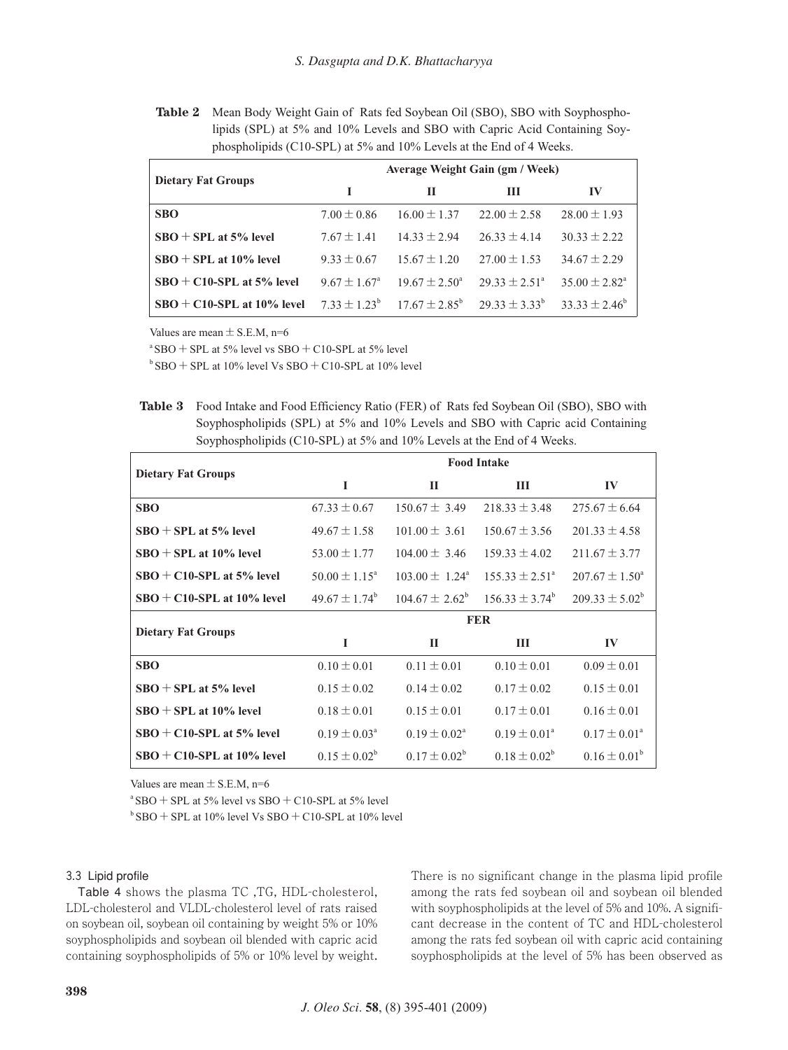**Table 2** Mean Body Weight Gain of Rats fed Soybean Oil (SBO), SBO with Soyphospholipids (SPL) at 5% and 10% Levels and SBO with Capric Acid Containing Soyphospholipids (C10-SPL) at 5% and 10% Levels at the End of 4 Weeks.

| <b>Dietary Fat Groups</b>    | Average Weight Gain (gm / Week) |                                                  |                          |                          |  |  |
|------------------------------|---------------------------------|--------------------------------------------------|--------------------------|--------------------------|--|--|
|                              |                                 | П                                                | Ш                        | IV                       |  |  |
| <b>SBO</b>                   | $7.00 \pm 0.86$                 | $16.00 \pm 1.37$                                 | $22.00 \pm 2.58$         | $28.00 \pm 1.93$         |  |  |
| $SBO + SPI$ at 5% level      | $7.67 \pm 1.41$                 | $14.33 \pm 2.94$                                 | $26.33 \pm 4.14$         | $30.33 \pm 2.22$         |  |  |
| $SBO + SPL$ at 10% level     | $9.33 \pm 0.67$                 | $15.67 \pm 1.20$                                 | $27.00 \pm 1.53$         | $34.67 \pm 2.29$         |  |  |
| $SBO + C10-SPL$ at 5% level  | $9.67 \pm 1.67^{\circ}$         | $19.67 \pm 2.50^{\circ}$                         | $29.33 \pm 2.51^{\circ}$ | $35.00 \pm 2.82^{\circ}$ |  |  |
| $SBO + C10-SPL$ at 10% level |                                 | $7.33 \pm 1.23^{\circ}$ 17.67 $\pm 2.85^{\circ}$ | $29.33 + 3.33^{b}$       | $33.33 \pm 2.46^{\circ}$ |  |  |

Values are mean  $\pm$  S.E.M, n=6

 $a$  SBO + SPL at 5% level vs SBO + C10-SPL at 5% level

 $b$  SBO + SPL at 10% level Vs SBO + C10-SPL at 10% level

**Table 3** Food Intake and Food Efficiency Ratio (FER) of Rats fed Soybean Oil (SBO), SBO with Soyphospholipids (SPL) at 5% and 10% Levels and SBO with Capric acid Containing Soyphospholipids (C10-SPL) at 5% and 10% Levels at the End of 4 Weeks.

|                              | <b>Food Intake</b>       |                           |                           |                           |  |  |
|------------------------------|--------------------------|---------------------------|---------------------------|---------------------------|--|--|
| <b>Dietary Fat Groups</b>    | I                        | П                         | Ш                         | IV                        |  |  |
| <b>SBO</b>                   | $67.33 \pm 0.67$         | $150.67 \pm 3.49$         | $218.33 \pm 3.48$         | $275.67 \pm 6.64$         |  |  |
| $SBO + SPI$ at 5% level      | $49.67 \pm 1.58$         | $101.00 \pm 3.61$         | $150.67 \pm 3.56$         | $201.33 \pm 4.58$         |  |  |
| $SBO + SPI.$ at 10% level    | 53.00 $\pm$ 1.77         | $104.00 \pm 3.46$         | $159.33 \pm 4.02$         | $211.67 \pm 3.77$         |  |  |
| $SBO + C10-SPL$ at 5% level  | $50.00 \pm 1.15^{\circ}$ | $103.00 \pm 1.24^{\circ}$ | $155.33 \pm 2.51^{\circ}$ | $207.67 \pm 1.50^{\circ}$ |  |  |
| $SBO + C10-SPL$ at 10% level | $49.67 \pm 1.74^{\circ}$ | $104.67 \pm 2.62^{\circ}$ | $156.33 \pm 3.74^{\circ}$ | $209.33 \pm 5.02^b$       |  |  |
| <b>Dietary Fat Groups</b>    | <b>FER</b>               |                           |                           |                           |  |  |
|                              | I                        | П                         | Ш                         | IV                        |  |  |
| <b>SBO</b>                   | $0.10 \pm 0.01$          | $0.11 \pm 0.01$           | $0.10 \pm 0.01$           | $0.09 \pm 0.01$           |  |  |
| $SBO + SPL$ at 5% level      | $0.15 \pm 0.02$          | $0.14 \pm 0.02$           | $0.17 \pm 0.02$           | $0.15 \pm 0.01$           |  |  |
| $SBO + SPI.$ at 10% level    | $0.18 \pm 0.01$          | $0.15 \pm 0.01$           | $0.17 \pm 0.01$           | $0.16 \pm 0.01$           |  |  |
| $SBO + C10-SPL$ at 5% level  | $0.19 \pm 0.03^{\circ}$  | $0.19 \pm 0.02^{\circ}$   | $0.19 \pm 0.01^{\circ}$   | $0.17 \pm 0.01^{\circ}$   |  |  |
| $SBO + C10-SPL$ at 10% level | $0.15 \pm 0.02^b$        | $0.17 \pm 0.02^b$         | $0.18 \pm 0.02^b$         | $0.16 \pm 0.01^b$         |  |  |

Values are mean  $\pm$  S.E.M, n=6

 $a$  SBO + SPL at 5% level vs SBO + C10-SPL at 5% level

 $b$  SBO + SPL at 10% level Vs SBO + C10-SPL at 10% level

#### 3.3 Lipid profile

Table 4 shows the plasma TC ,TG, HDL-cholesterol, LDL-cholesterol and VLDL-cholesterol level of rats raised on soybean oil, soybean oil containing by weight 5% or 10% soyphospholipids and soybean oil blended with capric acid containing soyphospholipids of 5% or 10% level by weight.

There is no significant change in the plasma lipid profile among the rats fed soybean oil and soybean oil blended with soyphospholipids at the level of 5% and 10%. A significant decrease in the content of TC and HDL-cholesterol among the rats fed soybean oil with capric acid containing soyphospholipids at the level of 5% has been observed as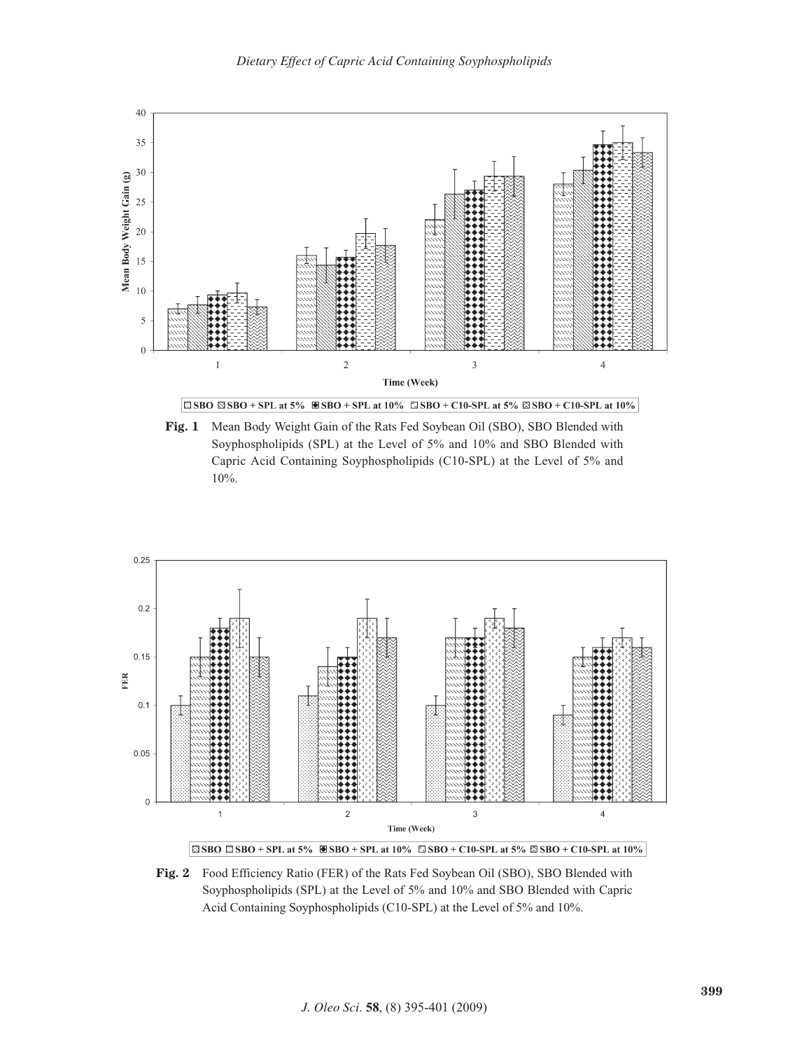

**Fig. 1** Mean Body Weight Gain of the Rats Fed Soybean Oil (SBO), SBO Blended with Soyphospholipids (SPL) at the Level of 5% and 10% and SBO Blended with Capric Acid Containing Soyphospholipids (C10-SPL) at the Level of 5% and 10%.



**Fig. 2** Food Efficiency Ratio (FER) of the Rats Fed Soybean Oil (SBO), SBO Blended with Soyphospholipids (SPL) at the Level of 5% and 10% and SBO Blended with Capric Acid Containing Soyphospholipids (C10-SPL) at the Level of 5% and 10%.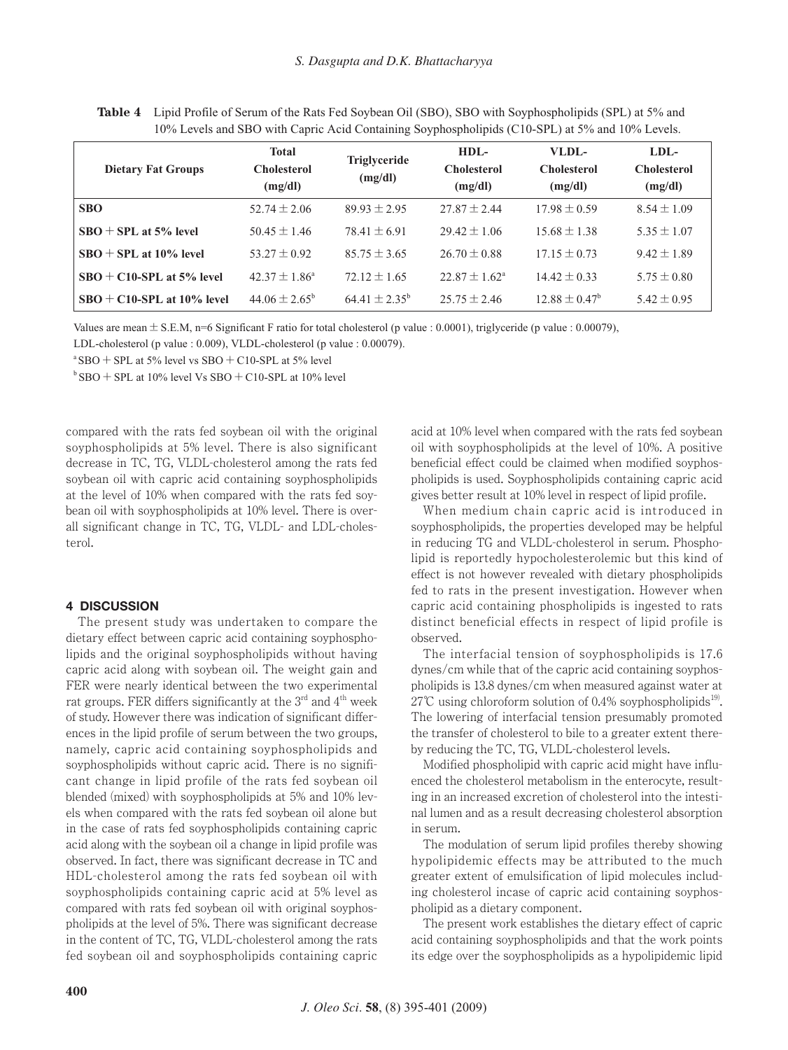| 1070 Levels and SDO with Captic Tiena Comaning Soyphosphonpius (CT0-SI L) at $270$ and T070 Levels. |                                               |                                |                                         |                                        |                                       |  |
|-----------------------------------------------------------------------------------------------------|-----------------------------------------------|--------------------------------|-----------------------------------------|----------------------------------------|---------------------------------------|--|
| <b>Dietary Fat Groups</b>                                                                           | <b>Total</b><br><b>Cholesterol</b><br>(mg/dl) | <b>Triglyceride</b><br>(mg/dl) | $HDL-$<br><b>Cholesterol</b><br>(mg/dl) | VLDL-<br><b>Cholesterol</b><br>(mg/dl) | LDL-<br><b>Cholesterol</b><br>(mg/dl) |  |
| <b>SBO</b>                                                                                          | $52.74 \pm 2.06$                              | $89.93 \pm 2.95$               | $27.87 \pm 2.44$                        | $17.98 \pm 0.59$                       | $8.54 \pm 1.09$                       |  |
| $SBO + SPI.$ at 5% level                                                                            | $50.45 \pm 1.46$                              | $78.41 \pm 6.91$               | $29.42 \pm 1.06$                        | $15.68 \pm 1.38$                       | $5.35 \pm 1.07$                       |  |
| $SBO + SPL$ at 10% level                                                                            | $53.27 \pm 0.92$                              | $85.75 \pm 3.65$               | $26.70 \pm 0.88$                        | $17.15 \pm 0.73$                       | $9.42 \pm 1.89$                       |  |
| $SBO + C10-SPL$ at 5% level                                                                         | $42.37 \pm 1.86^a$                            | $72.12 \pm 1.65$               | $22.87 \pm 1.62^{\circ}$                | $14.42 \pm 0.33$                       | $5.75 \pm 0.80$                       |  |
| $SBO + C10-SPL$ at 10% level                                                                        | $44.06 \pm 2.65^{\circ}$                      | $64.41 \pm 2.35^{\rm b}$       | $25.75 \pm 2.46$                        | $12.88 \pm 0.47^{\circ}$               | $5.42 \pm 0.95$                       |  |

**Table 4** Lipid Profile of Serum of the Rats Fed Soybean Oil (SBO), SBO with Soyphospholipids (SPL) at 5% and 10% Levels and SBO with Capric Acid Containing Soyphospholipids (C10-SPL) at 5% and 10% Levels.

Values are mean  $\pm$  S.E.M, n=6 Significant F ratio for total cholesterol (p value : 0.0001), triglyceride (p value : 0.00079),

LDL-cholesterol (p value : 0.009), VLDL-cholesterol (p value : 0.00079).

 $a$  SBO + SPL at 5% level vs SBO + C10-SPL at 5% level

 $b$  SBO + SPL at 10% level Vs SBO + C10-SPL at 10% level

compared with the rats fed soybean oil with the original soyphospholipids at 5% level. There is also significant decrease in TC, TG, VLDL-cholesterol among the rats fed soybean oil with capric acid containing soyphospholipids at the level of 10% when compared with the rats fed soybean oil with soyphospholipids at 10% level. There is overall significant change in TC, TG, VLDL- and LDL-cholesterol.

## **4 DISCUSSION**

The present study was undertaken to compare the dietary effect between capric acid containing soyphospholipids and the original soyphospholipids without having capric acid along with soybean oil. The weight gain and FER were nearly identical between the two experimental rat groups. FER differs significantly at the  $3<sup>rd</sup>$  and  $4<sup>th</sup>$  week of study. However there was indication of significant differences in the lipid profile of serum between the two groups, namely, capric acid containing soyphospholipids and soyphospholipids without capric acid. There is no significant change in lipid profile of the rats fed soybean oil blended (mixed) with soyphospholipids at 5% and 10% levels when compared with the rats fed soybean oil alone but in the case of rats fed soyphospholipids containing capric acid along with the soybean oil a change in lipid profile was observed. In fact, there was significant decrease in TC and HDL-cholesterol among the rats fed soybean oil with soyphospholipids containing capric acid at 5% level as compared with rats fed soybean oil with original soyphospholipids at the level of 5%. There was significant decrease in the content of TC, TG, VLDL-cholesterol among the rats fed soybean oil and soyphospholipids containing capric acid at 10% level when compared with the rats fed soybean oil with soyphospholipids at the level of 10%. A positive beneficial effect could be claimed when modified soyphospholipids is used. Soyphospholipids containing capric acid gives better result at 10% level in respect of lipid profile.

When medium chain capric acid is introduced in soyphospholipids, the properties developed may be helpful in reducing TG and VLDL-cholesterol in serum. Phospholipid is reportedly hypocholesterolemic but this kind of effect is not however revealed with dietary phospholipids fed to rats in the present investigation. However when capric acid containing phospholipids is ingested to rats distinct beneficial effects in respect of lipid profile is observed.

The interfacial tension of soyphospholipids is 17.6 dynes/cm while that of the capric acid containing soyphospholipids is 13.8 dynes/cm when measured against water at 27°C using chloroform solution of 0.4% soyphospholipids<sup>19</sup>. The lowering of interfacial tension presumably promoted the transfer of cholesterol to bile to a greater extent thereby reducing the TC, TG, VLDL-cholesterol levels.

Modified phospholipid with capric acid might have influenced the cholesterol metabolism in the enterocyte, resulting in an increased excretion of cholesterol into the intestinal lumen and as a result decreasing cholesterol absorption in serum.

The modulation of serum lipid profiles thereby showing hypolipidemic effects may be attributed to the much greater extent of emulsification of lipid molecules including cholesterol incase of capric acid containing soyphospholipid as a dietary component.

The present work establishes the dietary effect of capric acid containing soyphospholipids and that the work points its edge over the soyphospholipids as a hypolipidemic lipid